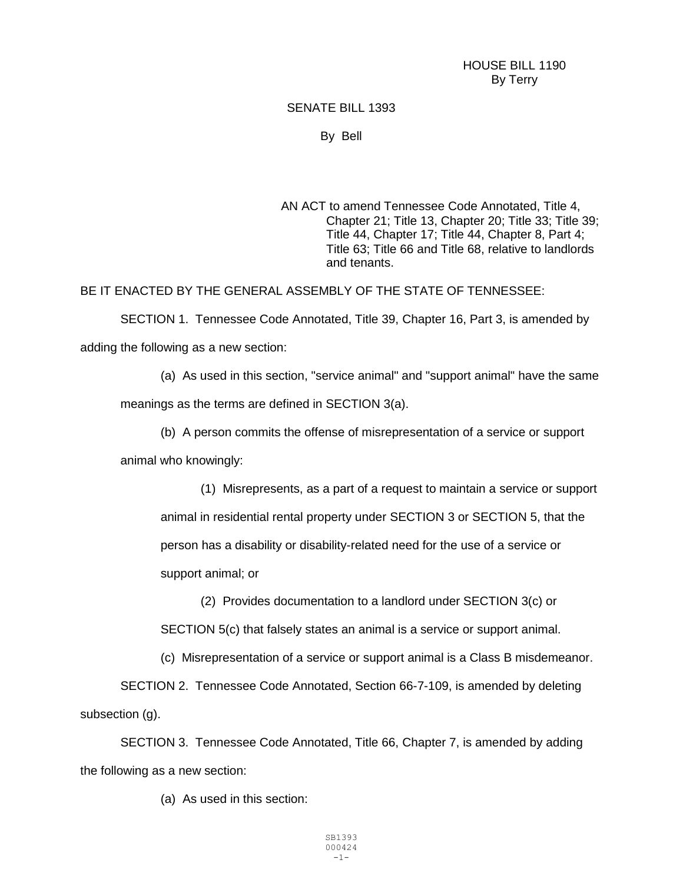HOUSE BILL 1190 By Terry

## SENATE BILL 1393

By Bell

AN ACT to amend Tennessee Code Annotated, Title 4, Chapter 21; Title 13, Chapter 20; Title 33; Title 39; Title 44, Chapter 17; Title 44, Chapter 8, Part 4; Title 63; Title 66 and Title 68, relative to landlords and tenants.

BE IT ENACTED BY THE GENERAL ASSEMBLY OF THE STATE OF TENNESSEE:

SECTION 1. Tennessee Code Annotated, Title 39, Chapter 16, Part 3, is amended by adding the following as a new section:

(a) As used in this section, "service animal" and "support animal" have the same

meanings as the terms are defined in SECTION 3(a).

(b) A person commits the offense of misrepresentation of a service or support

animal who knowingly:

(1) Misrepresents, as a part of a request to maintain a service or support animal in residential rental property under SECTION 3 or SECTION 5, that the person has a disability or disability-related need for the use of a service or support animal; or

(2) Provides documentation to a landlord under SECTION 3(c) or SECTION 5(c) that falsely states an animal is a service or support animal.

(c) Misrepresentation of a service or support animal is a Class B misdemeanor.

SECTION 2. Tennessee Code Annotated, Section 66-7-109, is amended by deleting subsection (g).

SECTION 3. Tennessee Code Annotated, Title 66, Chapter 7, is amended by adding the following as a new section:

(a) As used in this section: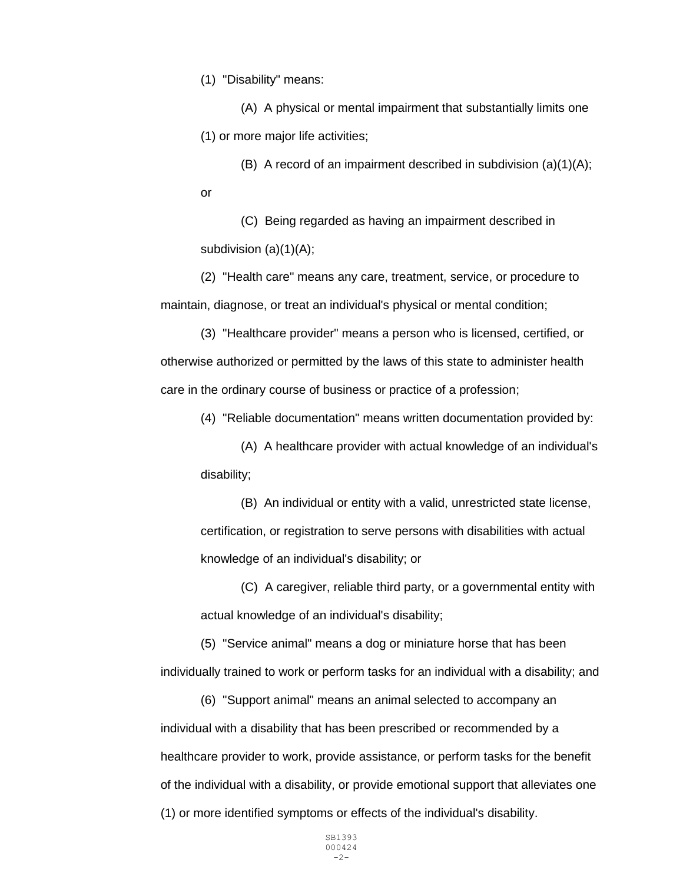(1) "Disability" means:

(A) A physical or mental impairment that substantially limits one (1) or more major life activities;

(B) A record of an impairment described in subdivision (a)(1)(A); or

(C) Being regarded as having an impairment described in subdivision (a)(1)(A);

(2) "Health care" means any care, treatment, service, or procedure to maintain, diagnose, or treat an individual's physical or mental condition;

(3) "Healthcare provider" means a person who is licensed, certified, or otherwise authorized or permitted by the laws of this state to administer health care in the ordinary course of business or practice of a profession;

(4) "Reliable documentation" means written documentation provided by:

(A) A healthcare provider with actual knowledge of an individual's disability;

(B) An individual or entity with a valid, unrestricted state license, certification, or registration to serve persons with disabilities with actual knowledge of an individual's disability; or

(C) A caregiver, reliable third party, or a governmental entity with actual knowledge of an individual's disability;

(5) "Service animal" means a dog or miniature horse that has been individually trained to work or perform tasks for an individual with a disability; and

(6) "Support animal" means an animal selected to accompany an individual with a disability that has been prescribed or recommended by a healthcare provider to work, provide assistance, or perform tasks for the benefit of the individual with a disability, or provide emotional support that alleviates one (1) or more identified symptoms or effects of the individual's disability.

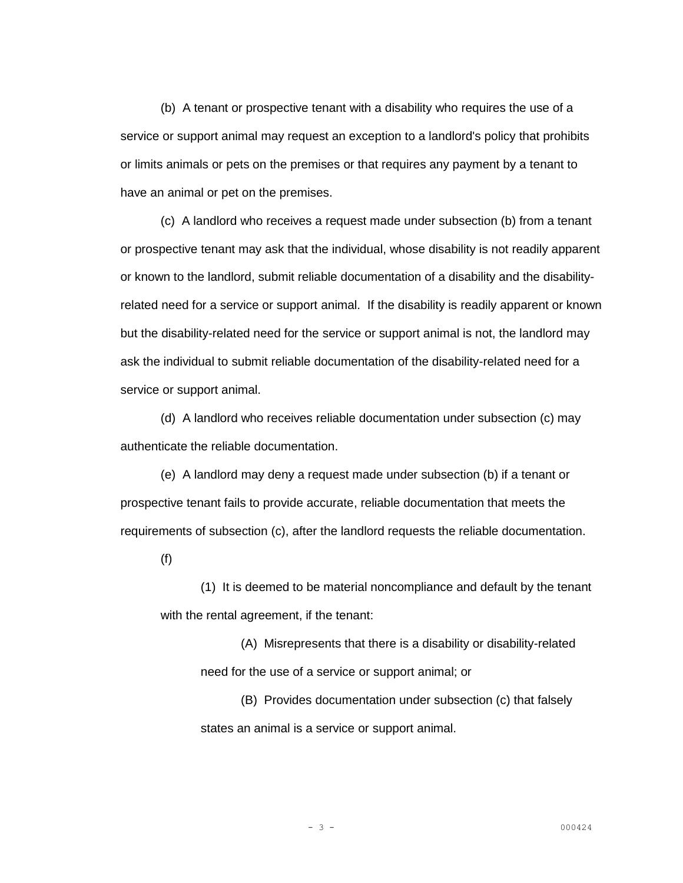(b) A tenant or prospective tenant with a disability who requires the use of a service or support animal may request an exception to a landlord's policy that prohibits or limits animals or pets on the premises or that requires any payment by a tenant to have an animal or pet on the premises.

(c) A landlord who receives a request made under subsection (b) from a tenant or prospective tenant may ask that the individual, whose disability is not readily apparent or known to the landlord, submit reliable documentation of a disability and the disabilityrelated need for a service or support animal. If the disability is readily apparent or known but the disability-related need for the service or support animal is not, the landlord may ask the individual to submit reliable documentation of the disability-related need for a service or support animal.

(d) A landlord who receives reliable documentation under subsection (c) may authenticate the reliable documentation.

(e) A landlord may deny a request made under subsection (b) if a tenant or prospective tenant fails to provide accurate, reliable documentation that meets the requirements of subsection (c), after the landlord requests the reliable documentation.

(f)

(1) It is deemed to be material noncompliance and default by the tenant with the rental agreement, if the tenant:

(A) Misrepresents that there is a disability or disability-related need for the use of a service or support animal; or

(B) Provides documentation under subsection (c) that falsely states an animal is a service or support animal.

$$
= 3 =
$$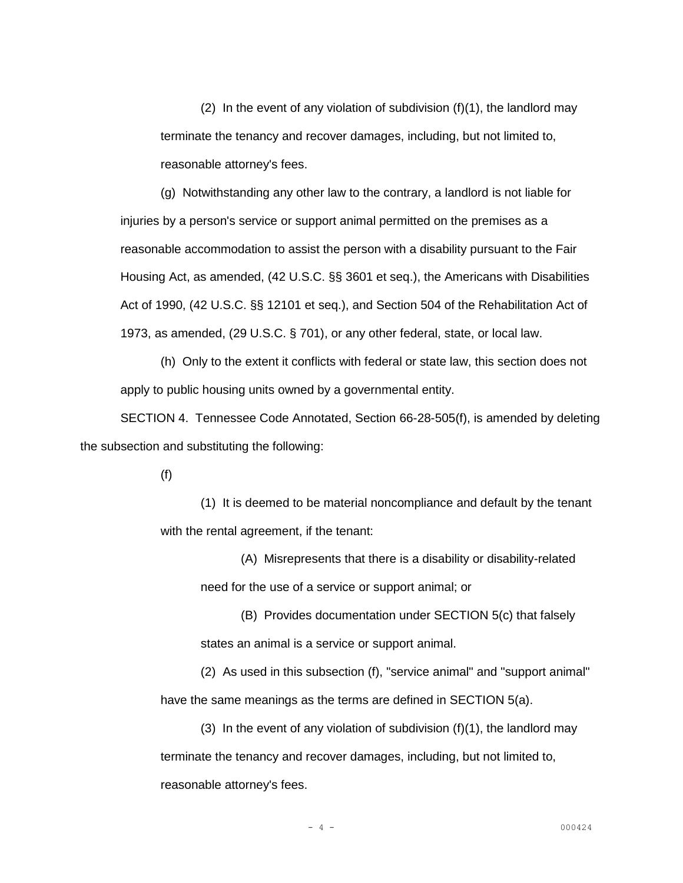(2) In the event of any violation of subdivision  $(f)(1)$ , the landlord may terminate the tenancy and recover damages, including, but not limited to, reasonable attorney's fees.

(g) Notwithstanding any other law to the contrary, a landlord is not liable for injuries by a person's service or support animal permitted on the premises as a reasonable accommodation to assist the person with a disability pursuant to the Fair Housing Act, as amended, (42 U.S.C. §§ 3601 et seq.), the Americans with Disabilities Act of 1990, (42 U.S.C. §§ 12101 et seq.), and Section 504 of the Rehabilitation Act of 1973, as amended, (29 U.S.C. § 701), or any other federal, state, or local law.

(h) Only to the extent it conflicts with federal or state law, this section does not apply to public housing units owned by a governmental entity.

SECTION 4. Tennessee Code Annotated, Section 66-28-505(f), is amended by deleting the subsection and substituting the following:

(f)

(1) It is deemed to be material noncompliance and default by the tenant with the rental agreement, if the tenant:

(A) Misrepresents that there is a disability or disability-related need for the use of a service or support animal; or

(B) Provides documentation under SECTION 5(c) that falsely states an animal is a service or support animal.

(2) As used in this subsection (f), "service animal" and "support animal" have the same meanings as the terms are defined in SECTION 5(a).

(3) In the event of any violation of subdivision (f)(1), the landlord may terminate the tenancy and recover damages, including, but not limited to, reasonable attorney's fees.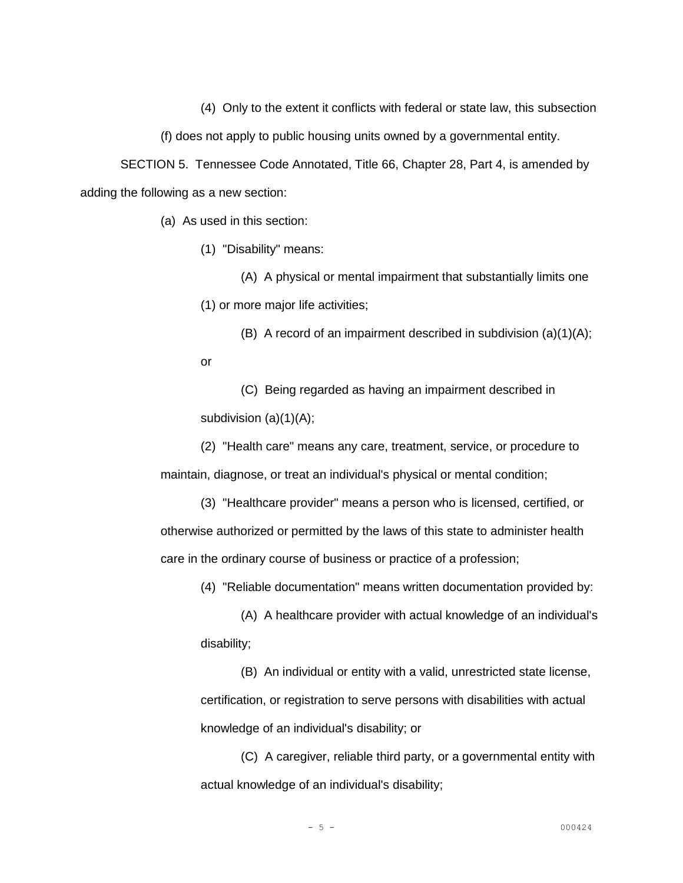(4) Only to the extent it conflicts with federal or state law, this subsection

(f) does not apply to public housing units owned by a governmental entity.

SECTION 5. Tennessee Code Annotated, Title 66, Chapter 28, Part 4, is amended by adding the following as a new section:

(a) As used in this section:

(1) "Disability" means:

(A) A physical or mental impairment that substantially limits one (1) or more major life activities;

(B) A record of an impairment described in subdivision (a)(1)(A); or

(C) Being regarded as having an impairment described in subdivision (a)(1)(A);

(2) "Health care" means any care, treatment, service, or procedure to maintain, diagnose, or treat an individual's physical or mental condition;

(3) "Healthcare provider" means a person who is licensed, certified, or otherwise authorized or permitted by the laws of this state to administer health care in the ordinary course of business or practice of a profession;

(4) "Reliable documentation" means written documentation provided by:

(A) A healthcare provider with actual knowledge of an individual's disability;

(B) An individual or entity with a valid, unrestricted state license, certification, or registration to serve persons with disabilities with actual knowledge of an individual's disability; or

(C) A caregiver, reliable third party, or a governmental entity with actual knowledge of an individual's disability;

$$
-5-
$$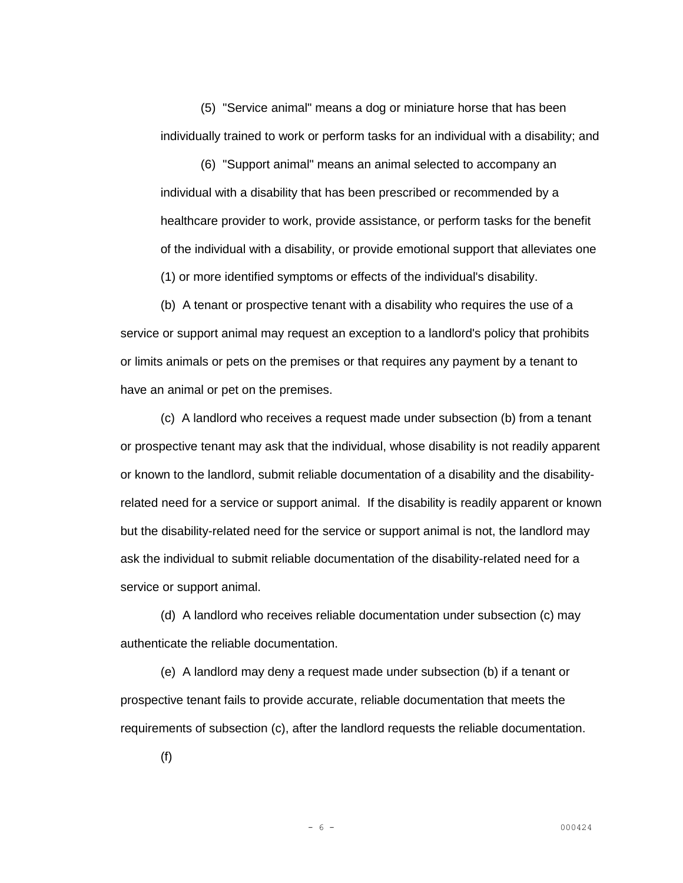(5) "Service animal" means a dog or miniature horse that has been individually trained to work or perform tasks for an individual with a disability; and

(6) "Support animal" means an animal selected to accompany an individual with a disability that has been prescribed or recommended by a healthcare provider to work, provide assistance, or perform tasks for the benefit of the individual with a disability, or provide emotional support that alleviates one (1) or more identified symptoms or effects of the individual's disability.

(b) A tenant or prospective tenant with a disability who requires the use of a service or support animal may request an exception to a landlord's policy that prohibits or limits animals or pets on the premises or that requires any payment by a tenant to have an animal or pet on the premises.

(c) A landlord who receives a request made under subsection (b) from a tenant or prospective tenant may ask that the individual, whose disability is not readily apparent or known to the landlord, submit reliable documentation of a disability and the disabilityrelated need for a service or support animal. If the disability is readily apparent or known but the disability-related need for the service or support animal is not, the landlord may ask the individual to submit reliable documentation of the disability-related need for a service or support animal.

(d) A landlord who receives reliable documentation under subsection (c) may authenticate the reliable documentation.

(e) A landlord may deny a request made under subsection (b) if a tenant or prospective tenant fails to provide accurate, reliable documentation that meets the requirements of subsection (c), after the landlord requests the reliable documentation.

(f)